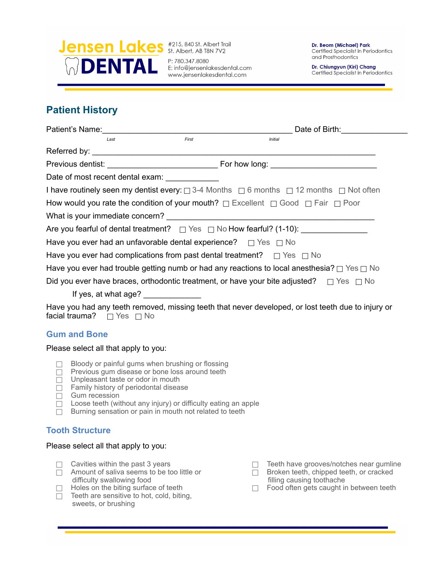

P: 780.347.8080 E: info@jensenlakesdental.com www.jensenlakesdental.com

Dr. Beom (Michael) Park Certified Specialist in Periodontics and Prosthodontics

Dr. Chiungyun (Kiri) Chang Certified Specialist in Periodontics

# **Patient History**

| Patient's Name: <u>Alexander Alexander Alexander Alexander Alexander Alexander Alexander Alexander Alexander Alex</u> | Date of Birth:                                                                                              |
|-----------------------------------------------------------------------------------------------------------------------|-------------------------------------------------------------------------------------------------------------|
| Last                                                                                                                  | First<br><b>Initial</b>                                                                                     |
|                                                                                                                       |                                                                                                             |
|                                                                                                                       |                                                                                                             |
| Date of most recent dental exam:                                                                                      |                                                                                                             |
|                                                                                                                       | I have routinely seen my dentist every: $\Box$ 3-4 Months $\Box$ 6 months $\Box$ 12 months $\Box$ Not often |
|                                                                                                                       | How would you rate the condition of your mouth? $\Box$ Excellent $\Box$ Good $\Box$ Fair $\Box$ Poor        |
|                                                                                                                       |                                                                                                             |
|                                                                                                                       |                                                                                                             |
| Have you ever had an unfavorable dental experience? $\Box$ Yes $\Box$ No                                              |                                                                                                             |
| Have you ever had complications from past dental treatment? $\Box$ Yes $\Box$ No                                      |                                                                                                             |
|                                                                                                                       | Have you ever had trouble getting numb or had any reactions to local anesthesia? $\Box$ Yes $\Box$ No       |
|                                                                                                                       | Did you ever have braces, orthodontic treatment, or have your bite adjusted? $\Box$ Yes $\Box$ No           |
| If yes, at what age? ______________                                                                                   |                                                                                                             |
| facial trauma? $\Box$ Yes $\Box$ No                                                                                   | Have you had any teeth removed, missing teeth that never developed, or lost teeth due to injury or          |

### **Gum and Bone**

#### Please select all that apply to you:

- $\Box$  Bloody or painful gums when brushing or flossing
- $\Box$  Previous gum disease or bone loss around teeth
- $\Box$  Unpleasant taste or odor in mouth
- $\Box$  Family history of periodontal disease
- $\Box$  Gum recession
- $\Box$  Loose teeth (without any injury) or difficulty eating an apple
- $\Box$  Burning sensation or pain in mouth not related to teeth

### **Tooth Structure**

#### Please select all that apply to you:

- $\Box$  Cavities within the past 3 years
- $\Box$  Amount of saliva seems to be too little or difficulty swallowing food
- $\Box$  Holes on the biting surface of teeth
- $\Box$  Teeth are sensitive to hot, cold, biting, sweets, or brushing
- $\Box$  Teeth have grooves/notches near gumline
- $\Box$  Broken teeth, chipped teeth, or cracked filling causing toothache
- $\Box$  Food often gets caught in between teeth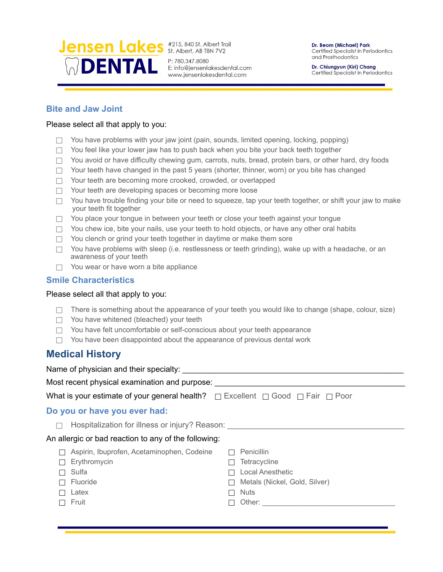

www.jensenlakesdental.com

Dr. Beom (Michael) Park Certified Specialist in Periodontics and Prosthodontics

Dr. Chiungyun (Kiri) Chang Certified Specialist in Periodontics

### **Bite and Jaw Joint**

### Please select all that apply to you:

- $\Box$  You have problems with your jaw joint (pain, sounds, limited opening, locking, popping)
- $\Box$  You feel like your lower jaw has to push back when you bite your back teeth together
- $\Box$  You avoid or have difficulty chewing gum, carrots, nuts, bread, protein bars, or other hard, dry foods
- $\Box$  Your teeth have changed in the past 5 years (shorter, thinner, worn) or you bite has changed
- $\Box$  Your teeth are becoming more crooked, crowded, or overlapped
- $\Box$  Your teeth are developing spaces or becoming more loose
- $\Box$  You have trouble finding your bite or need to squeeze, tap your teeth together, or shift your jaw to make your teeth fit together
- $\Box$  You place your tongue in between your teeth or close your teeth against your tongue
- $\Box$  You chew ice, bite your nails, use your teeth to hold objects, or have any other oral habits
- $\Box$  You clench or grind your teeth together in daytime or make them sore
- $\Box$  You have problems with sleep (i.e. restlessness or teeth grinding), wake up with a headache, or an awareness of your teeth
- $\Box$  You wear or have worn a bite appliance

### **Smile Characteristics**

#### Please select all that apply to you:

- $\Box$  There is something about the appearance of your teeth you would like to change (shape, colour, size)
- $\Box$  You have whitened (bleached) your teeth
- $\Box$  You have felt uncomfortable or self-conscious about your teeth appearance
- $\Box$  You have been disappointed about the appearance of previous dental work

## **Medical History**

| Name of physician and their specialty:                                                             |                               |
|----------------------------------------------------------------------------------------------------|-------------------------------|
| Most recent physical examination and purpose:                                                      |                               |
| What is your estimate of your general health? $\Box$ Excellent $\Box$ Good $\Box$ Fair $\Box$ Poor |                               |
| Do you or have you ever had:                                                                       |                               |
| Hospitalization for illness or injury? Reason:                                                     |                               |
| An allergic or bad reaction to any of the following:                                               |                               |
| Aspirin, Ibuprofen, Acetaminophen, Codeine                                                         | Penicillin                    |
| Erythromycin                                                                                       | <b>Tetracycline</b>           |
| Sulfa                                                                                              | <b>Local Anesthetic</b>       |
| Fluoride                                                                                           | Metals (Nickel, Gold, Silver) |
| Latex                                                                                              | <b>Nuts</b>                   |
| Fruit                                                                                              |                               |
|                                                                                                    |                               |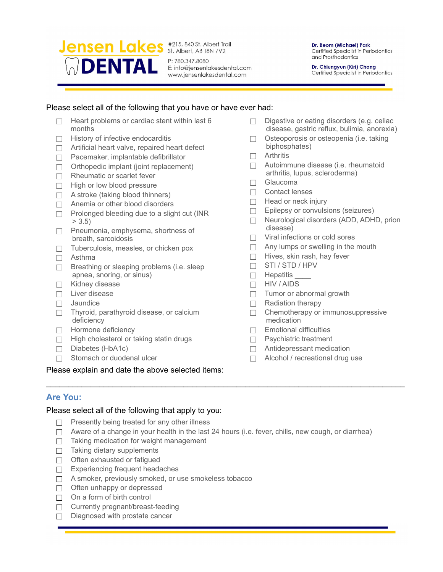

www.jensenlakesdental.com

Dr. Beom (Michael) Park Certified Specialist in Periodontics and Prosthodontics

Dr. Chiungyun (Kiri) Chang Certified Specialist in Periodontics

### Please select all of the following that you have or have ever had:

- $\Box$  Heart problems or cardiac stent within last 6 months
- $\Box$  History of infective endocarditis
- $\Box$  Artificial heart valve, repaired heart defect
- $\Box$  Pacemaker, implantable defibrillator
- $\Box$  Orthopedic implant (joint replacement)
- $\Box$  Rheumatic or scarlet fever
- $\Box$  High or low blood pressure
- $\Box$  A stroke (taking blood thinners)
- $\Box$  Anemia or other blood disorders
- $\Box$  Prolonged bleeding due to a slight cut (INR  $> 3.5$
- $\Box$  Pneumonia, emphysema, shortness of breath, sarcoidosis
- $\Box$  Tuberculosis, measles, or chicken pox
- $\Box$  Asthma
- $\Box$  Breathing or sleeping problems (i.e. sleep apnea, snoring, or sinus)
- $\Box$  Kidney disease
- $\Box$  Liver disease
- $\Box$  Jaundice
- $\Box$  Thyroid, parathyroid disease, or calcium deficiency
- $\Box$  Hormone deficiency
- $\Box$  High cholesterol or taking statin drugs
- $\Box$  Diabetes (HbA1c)
- $\Box$  Stomach or duodenal ulcer

Please explain and date the above selected items:

- $\Box$  Digestive or eating disorders (e.g. celiac disease, gastric reflux, bulimia, anorexia)
- $\Box$  Osteoporosis or osteopenia (i.e. taking biphosphates)
- $\Box$  Arthritis
- $\Box$  Autoimmune disease (i.e. rheumatoid arthritis, lupus, scleroderma)
- $\Box$  Glaucoma
- $\Box$  Contact lenses
- $\Box$  Head or neck injury
- $\Box$  Epilepsy or convulsions (seizures)
- $\Box$  Neurological disorders (ADD, ADHD, prion disease)
- $\Box$  Viral infections or cold sores
- $\Box$  Any lumps or swelling in the mouth
- $\Box$  Hives, skin rash, hay fever
- $\Box$  STI / STD / HPV
- $\Box$  Hepatitis
- $\Box$  HIV / AIDS
- $\Box$  Tumor or abnormal growth
- $\Box$  Radiation therapy
- $\Box$  Chemotherapy or immunosuppressive medication
- $\Box$  Emotional difficulties
- $\Box$  Psychiatric treatment
- $\Box$  Antidepressant medication
- $\Box$  Alcohol / recreational drug use

### **Are You:**

#### Please select all of the following that apply to you:

- $\Box$  Presently being treated for any other illness
- $\Box$  Aware of a change in your health in the last 24 hours (i.e. fever, chills, new cough, or diarrhea)

\_\_\_\_\_\_\_\_\_\_\_\_\_\_\_\_\_\_\_\_\_\_\_\_\_\_\_\_\_\_\_\_\_\_\_\_\_\_\_\_\_\_\_\_\_\_\_\_\_\_\_\_\_\_\_\_\_\_\_\_\_\_\_\_\_\_\_\_\_\_\_\_\_\_\_\_\_\_\_\_\_

- $\Box$  Taking medication for weight management
- $\Box$  Taking dietary supplements
- $\Box$  Often exhausted or fatigued
- $\Box$  Experiencing frequent headaches
- $\Box$  A smoker, previously smoked, or use smokeless tobacco
- $\Box$  Often unhappy or depressed
- $\Box$  On a form of birth control
- $\Box$  Currently pregnant/breast-feeding
- $\Box$  Diagnosed with prostate cancer